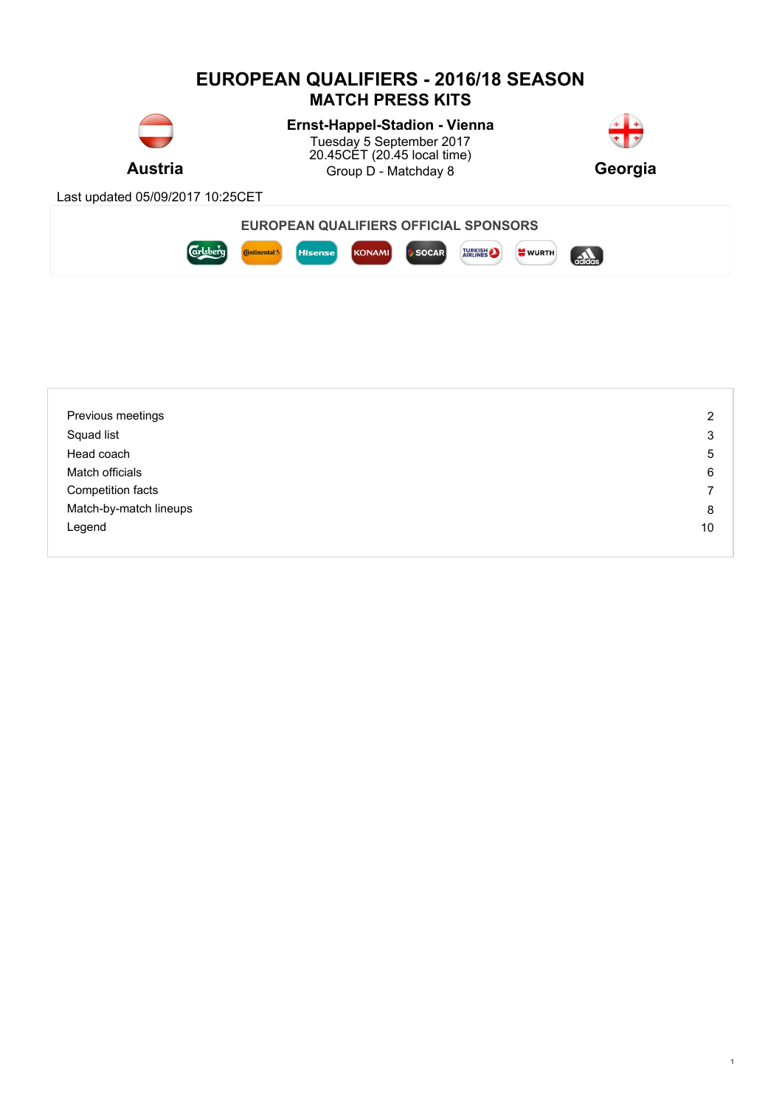

| Previous meetings      | 2  |
|------------------------|----|
| Squad list             | 3  |
| Head coach             | 5  |
| Match officials        | 6  |
| Competition facts      | ⇁  |
| Match-by-match lineups | 8  |
| Legend                 | 10 |
|                        |    |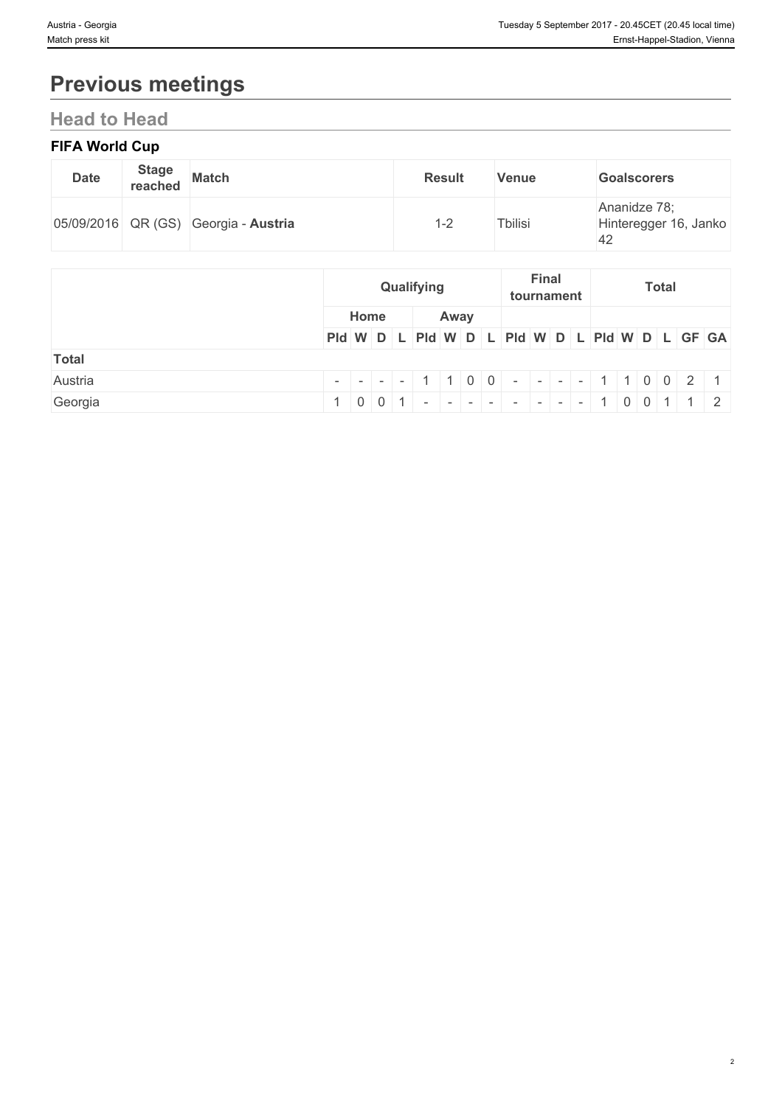# **Previous meetings**

# **Head to Head**

### **FIFA World Cup**

| <b>Date</b> | <b>Stage</b><br>reached | <b>Match</b>                         | <b>Result</b> | <b>Venue</b>    | <b>Goalscorers</b>                          |
|-------------|-------------------------|--------------------------------------|---------------|-----------------|---------------------------------------------|
|             |                         | 05/09/2016 QR (GS) Georgia - Austria | $-2$          | <b>T</b> bilisi | Ananidze 78;<br>Hinteregger 16, Janko<br>42 |

|              |                                                                             |      | Qualifying |  |      |  | tournament | <b>Final</b> |  |  | <b>Total</b> |  |  |
|--------------|-----------------------------------------------------------------------------|------|------------|--|------|--|------------|--------------|--|--|--------------|--|--|
|              |                                                                             | Home |            |  | Away |  |            |              |  |  |              |  |  |
|              | PId W D L PId W D L PId W D L PId W D L PID U GF GA                         |      |            |  |      |  |            |              |  |  |              |  |  |
| <b>Total</b> |                                                                             |      |            |  |      |  |            |              |  |  |              |  |  |
| Austria      | $      1 \mid 1 \mid 0 \mid 0$ $      1 \mid 1 \mid 0 \mid 0 \mid 2 \mid 1$ |      |            |  |      |  |            |              |  |  |              |  |  |
| Georgia      | $1   0   0   1   -   -   -   -   -   -   -   -   1   0   0   1   1   2$     |      |            |  |      |  |            |              |  |  |              |  |  |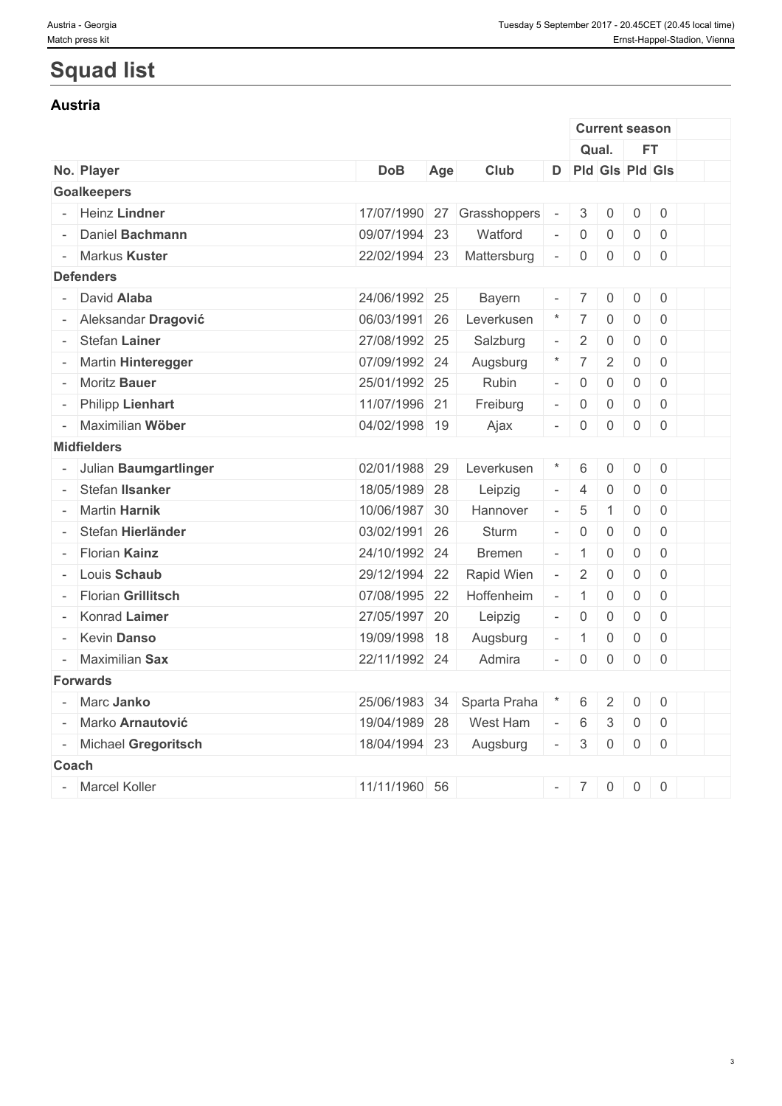# **Squad list**

#### **Austria**

|                         |               |     |               |                             |                     | <b>Current season</b> |                     |                     |  |
|-------------------------|---------------|-----|---------------|-----------------------------|---------------------|-----------------------|---------------------|---------------------|--|
|                         |               |     |               |                             |                     | Qual.                 |                     | <b>FT</b>           |  |
| No. Player              | <b>DoB</b>    | Age | Club          | D                           | Pld Gls Pld Gls     |                       |                     |                     |  |
| <b>Goalkeepers</b>      |               |     |               |                             |                     |                       |                     |                     |  |
| - Heinz Lindner         | 17/07/1990    | 27  | Grasshoppers  | $\sim$                      | 3                   | $\overline{0}$        | $\mathsf{O}\xspace$ | $\mathsf{O}\xspace$ |  |
| Daniel Bachmann         | 09/07/1994 23 |     | Watford       | $\mathbf{r}$                | $\mathbf 0$         | $\overline{0}$        | $\mathbf 0$         | $\overline{0}$      |  |
| Markus Kuster           | 22/02/1994    | 23  | Mattersburg   | $\sim$                      | $\mathsf{O}\xspace$ | $\mathsf{O}\xspace$   | $\mathsf{O}\xspace$ | $\mathsf{O}\xspace$ |  |
| <b>Defenders</b>        |               |     |               |                             |                     |                       |                     |                     |  |
| David Alaba             | 24/06/1992 25 |     | Bayern        | $\overline{\phantom{a}}$    | $7\overline{ }$     | $\mathsf{O}\xspace$   | $\mathsf{O}$        | $\mathsf 0$         |  |
| Aleksandar Dragović     | 06/03/1991 26 |     | Leverkusen    | $\star$                     | $\overline{7}$      | $\mathbf 0$           | $\mathsf{O}\xspace$ | $\mathbf 0$         |  |
| Stefan Lainer           | 27/08/1992 25 |     | Salzburg      | $\overline{\phantom{a}}$    | $\overline{2}$      | $\mathsf{O}\xspace$   | $\mathsf{O}\xspace$ | $\mathbf 0$         |  |
| Martin Hinteregger      | 07/09/1992 24 |     | Augsburg      | $\star$                     | $\overline{7}$      | $\sqrt{2}$            | $\mathsf{O}\xspace$ | $\mathbf 0$         |  |
| Moritz Bauer            | 25/01/1992 25 |     | Rubin         | $\mathcal{L}_{\mathcal{A}}$ | $\mathsf{O}\xspace$ | $\mathbf 0$           | $\mathsf{O}\xspace$ | $\mathbf 0$         |  |
| <b>Philipp Lienhart</b> | 11/07/1996 21 |     | Freiburg      | $\equiv$                    | $\mathsf{O}\xspace$ | $\mathsf{O}\xspace$   | $\mathsf{O}\xspace$ | $\mathbf 0$         |  |
| Maximilian Wöber        | 04/02/1998 19 |     | Ajax          | $\equiv$                    | $\mathsf{O}\xspace$ | 0                     | 0                   | $\mathsf 0$         |  |
| <b>Midfielders</b>      |               |     |               |                             |                     |                       |                     |                     |  |
| Julian Baumgartlinger   | 02/01/1988 29 |     | Leverkusen    | $\star$                     | 6                   | $\mathsf{O}\xspace$   | $\mathsf{O}\xspace$ | $\mathsf{O}$        |  |
| Stefan IIsanker         | 18/05/1989 28 |     | Leipzig       | $\overline{\phantom{a}}$    | $\overline{4}$      | $\mathsf{O}\xspace$   | $\mathsf{O}\xspace$ | $\mathbf 0$         |  |
| <b>Martin Harnik</b>    | 10/06/1987    | 30  | Hannover      | $\overline{\phantom{a}}$    | 5                   | $\mathbf{1}$          | $\mathsf{O}\xspace$ | 0                   |  |
| Stefan Hierländer       | 03/02/1991 26 |     | Sturm         | $\mathbb{Z}^{\mathbb{Z}}$   | $\mathsf{O}\xspace$ | $\mathsf{O}\xspace$   | $\mathsf{O}\xspace$ | $\mathbf 0$         |  |
| Florian Kainz           | 24/10/1992 24 |     | <b>Bremen</b> | $\equiv$                    | $\mathbf{1}$        | $\mathsf{O}\xspace$   | $\mathsf{O}\xspace$ | $\mathbf 0$         |  |
| Louis Schaub            | 29/12/1994    | 22  | Rapid Wien    | $\omega$                    | $\overline{2}$      | $\mathsf{O}\xspace$   | $\mathsf{O}\xspace$ | $\mathbf 0$         |  |
| Florian Grillitsch      | 07/08/1995 22 |     | Hoffenheim    | $\overline{\phantom{a}}$    | $\mathbf{1}$        | $\mathbf 0$           | $\mathsf{O}\xspace$ | $\mathsf{O}\xspace$ |  |
| Konrad Laimer           | 27/05/1997 20 |     | Leipzig       | $\mathcal{L}_{\mathcal{A}}$ | $\mathsf{O}\xspace$ | $\mathbf 0$           | $\mathbf 0$         | $\mathbf 0$         |  |
| Kevin Danso             | 19/09/1998    | 18  | Augsburg      | $\overline{\phantom{a}}$    | $\mathbf{1}$        | $\mathsf{0}$          | $\mathsf{O}\xspace$ | $\mathbf 0$         |  |
| Maximilian Sax          | 22/11/1992 24 |     | Admira        | $\overline{\phantom{a}}$    | $\mathsf{O}\xspace$ | $\mathsf{O}\xspace$   | $\mathsf{O}\xspace$ | $\mathsf 0$         |  |
| <b>Forwards</b>         |               |     |               |                             |                     |                       |                     |                     |  |
| Marc Janko              | 25/06/1983    | 34  | Sparta Praha  |                             | 6                   | $\sqrt{2}$            | $\mathsf{O}\xspace$ | $\mathsf{O}\xspace$ |  |
| Marko Arnautović        | 19/04/1989 28 |     | West Ham      | $\equiv$                    | 6                   | 3                     | $\mathsf{O}\xspace$ | $\mathbf 0$         |  |
| - Michael Gregoritsch   | 18/04/1994 23 |     | Augsburg      | $\overline{\phantom{a}}$    | $\mathfrak{S}$      | $\mathsf{O}\xspace$   | $\mathsf{O}\xspace$ | $\mathbf 0$         |  |
| Coach                   |               |     |               |                             |                     |                       |                     |                     |  |
| - Marcel Koller         | 11/11/1960 56 |     |               | $\equiv$                    | $7\overline{ }$     | $\overline{0}$        | $\overline{0}$      | $\mathbf 0$         |  |
|                         |               |     |               |                             |                     |                       |                     |                     |  |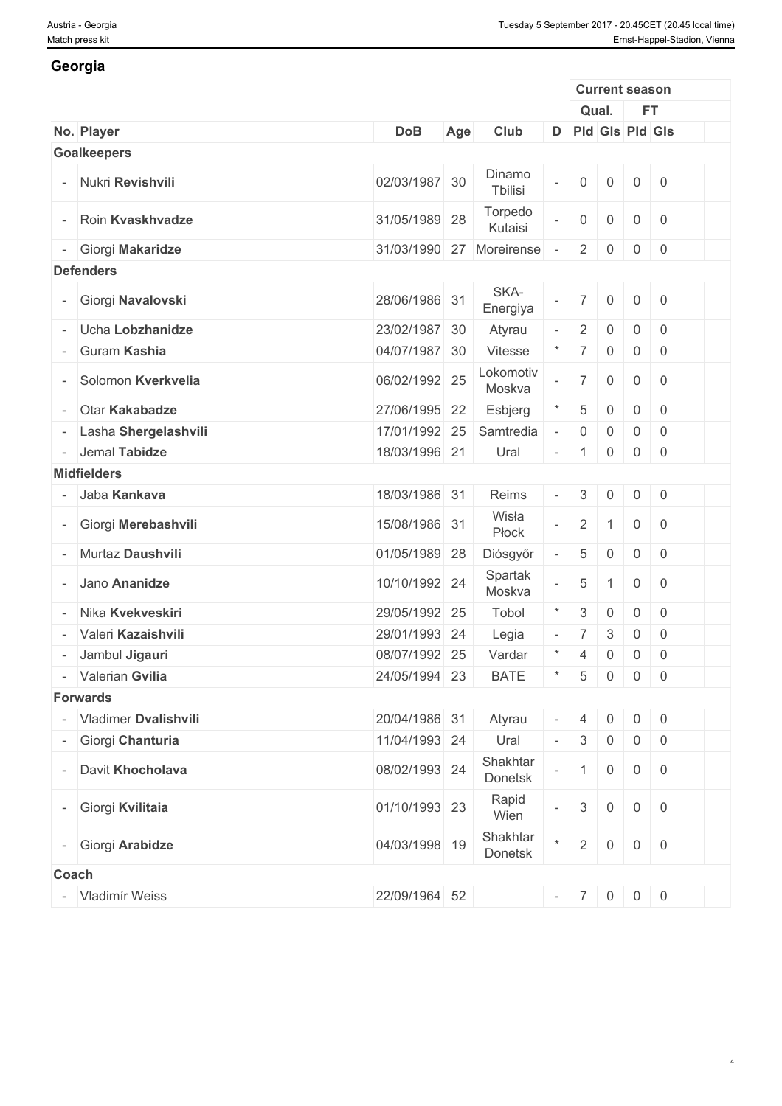### **Georgia**

|                          |                        |               |     |                     |                          |                           | <b>Current season</b>     |                     |                                                       |  |
|--------------------------|------------------------|---------------|-----|---------------------|--------------------------|---------------------------|---------------------------|---------------------|-------------------------------------------------------|--|
|                          |                        |               |     |                     |                          |                           | Qual.                     |                     | <b>FT</b>                                             |  |
|                          | No. Player             | <b>DoB</b>    | Age | Club                |                          |                           | D Pld Gls Pld Gls         |                     |                                                       |  |
|                          | <b>Goalkeepers</b>     |               |     |                     |                          |                           |                           |                     |                                                       |  |
|                          | Nukri Revishvili       | 02/03/1987 30 |     | Dinamo<br>Tbilisi   | $\bar{a}$                | $\mathbf 0$               | $\mathsf{O}\xspace$       | $\overline{0}$      | $\overline{0}$                                        |  |
| $\overline{\phantom{a}}$ | Roin Kvaskhvadze       | 31/05/1989 28 |     | Torpedo<br>Kutaisi  | $\equiv$                 | $\mathsf{O}\xspace$       | $\overline{0}$            | $\overline{0}$      | $\overline{0}$                                        |  |
| $\overline{\phantom{a}}$ | Giorgi Makaridze       | 31/03/1990 27 |     | Moreirense          |                          | $\overline{2}$            | $\overline{0}$            | 0                   | $\overline{0}$                                        |  |
|                          | <b>Defenders</b>       |               |     |                     |                          |                           |                           |                     |                                                       |  |
|                          | - Giorgi Navalovski    | 28/06/1986 31 |     | SKA-<br>Energiya    | $\equiv$                 | $\overline{7}$            | $\mathsf{O}\xspace$       | $\overline{0}$      | $\overline{0}$                                        |  |
|                          | Ucha Lobzhanidze       | 23/02/1987 30 |     | Atyrau              | $\bar{a}$                | $\overline{2}$            | $\mathbf 0$               | $\mathbf 0$         | $\overline{0}$                                        |  |
|                          | Guram Kashia           | 04/07/1987 30 |     | Vitesse             | $^\ast$                  | $\overline{7}$            | $\mathsf{O}\xspace$       | $\overline{0}$      | $\overline{0}$                                        |  |
|                          | Solomon Kverkvelia     | 06/02/1992 25 |     | Lokomotiv<br>Moskva |                          | $\overline{7}$            | $\mathsf{O}\xspace$       | $\overline{0}$      | $\overline{0}$                                        |  |
|                          | Otar Kakabadze         | 27/06/1995 22 |     | Esbjerg             | $\star$                  | 5                         | $\mathbf 0$               | $\overline{0}$      | $\overline{0}$                                        |  |
|                          | - Lasha Shergelashvili | 17/01/1992 25 |     | Samtredia           | $\sim$                   | $\boldsymbol{0}$          | 0                         | $\mathsf{O}\xspace$ | $\overline{0}$                                        |  |
|                          | - Jemal Tabidze        | 18/03/1996 21 |     | Ural                | $\overline{\phantom{a}}$ | $\overline{1}$            | $\overline{0}$            | $\overline{0}$      | $\overline{0}$                                        |  |
|                          | <b>Midfielders</b>     |               |     |                     |                          |                           |                           |                     |                                                       |  |
|                          | Jaba Kankava           | 18/03/1986 31 |     | Reims               | $\equiv$                 | $\mathfrak{Z}$            | $\mathsf{O}$              | $\overline{0}$      | $\begin{array}{ c c }$                                |  |
|                          | - Giorgi Merebashvili  | 15/08/1986 31 |     | Wisła<br>Płock      | $\mathbf{r}$             | $\sqrt{2}$                | $\mathbf{1}$              | $\overline{0}$      | $\overline{0}$                                        |  |
|                          | Murtaz Daushvili       | 01/05/1989 28 |     | Diósgyőr            | $\overline{\phantom{a}}$ | 5                         | $\mathsf{O}\xspace$       | $\mathsf{O}$        | $\overline{0}$                                        |  |
|                          | Jano Ananidze          | 10/10/1992 24 |     | Spartak<br>Moskva   |                          | 5                         | $\mathbf{1}$              | $\overline{0}$      | $\overline{0}$                                        |  |
|                          | Nika Kvekveskiri       | 29/05/1992 25 |     | Tobol               | $\star$                  | $\ensuremath{\mathsf{3}}$ | $\mathbf 0$               | $\overline{0}$      | $\overline{0}$                                        |  |
|                          | Valeri Kazaishvili     | 29/01/1993 24 |     | Legia               | $\overline{\phantom{a}}$ | $\overline{7}$            | $\ensuremath{\mathsf{3}}$ | $\mathsf{0}$        | $\overline{0}$                                        |  |
|                          | Jambul Jigauri         | 08/07/1992 25 |     | Vardar              | $^\ast$                  | $\overline{4}$            | 0                         | 0                   | $\mathsf{O}$                                          |  |
|                          | - Valerian Gvilia      | 24/05/1994 23 |     | <b>BATE</b>         | $\mathcal{L}$            |                           | 5000                      |                     |                                                       |  |
|                          | <b>Forwards</b>        |               |     |                     |                          |                           |                           |                     |                                                       |  |
|                          | - Vladimer Dvalishvili | 20/04/1986 31 |     | Atyrau              | $\overline{\phantom{a}}$ | 4                         | $\overline{0}$            | $\overline{0}$      | $\begin{array}{ c c } \hline 0 \\ \hline \end{array}$ |  |
|                          | - Giorgi Chanturia     | 11/04/1993 24 |     | Ural                | $\overline{\phantom{a}}$ | $\mathbf{3}$              | $\mathsf 0$               | $\overline{0}$      |                                                       |  |
| $\overline{\phantom{a}}$ | Davit Khocholava       | 08/02/1993 24 |     | Shakhtar<br>Donetsk |                          | $\mathbf{1}$              | $\mathsf{O}\xspace$       | $\overline{0}$      | $\overline{0}$                                        |  |
|                          | - Giorgi Kvilitaia     | 01/10/1993 23 |     | Rapid<br>Wien       | $\mathbb{L}$             | $\mathfrak{S}$            | $\mathsf{O}\xspace$       | $\overline{0}$      | $\overline{0}$                                        |  |
|                          | Giorgi Arabidze        | 04/03/1998 19 |     | Shakhtar<br>Donetsk | $\star$                  | $\overline{2}$            | $\mathbf 0$               | $\overline{0}$      | $\overline{0}$                                        |  |
| <b>Coach</b>             |                        |               |     |                     |                          |                           |                           |                     |                                                       |  |
|                          | - Vladimír Weiss       | 22/09/1964 52 |     |                     |                          | $-7$ 0                    |                           |                     | $0 \mid 0$                                            |  |
|                          |                        |               |     |                     |                          |                           |                           |                     |                                                       |  |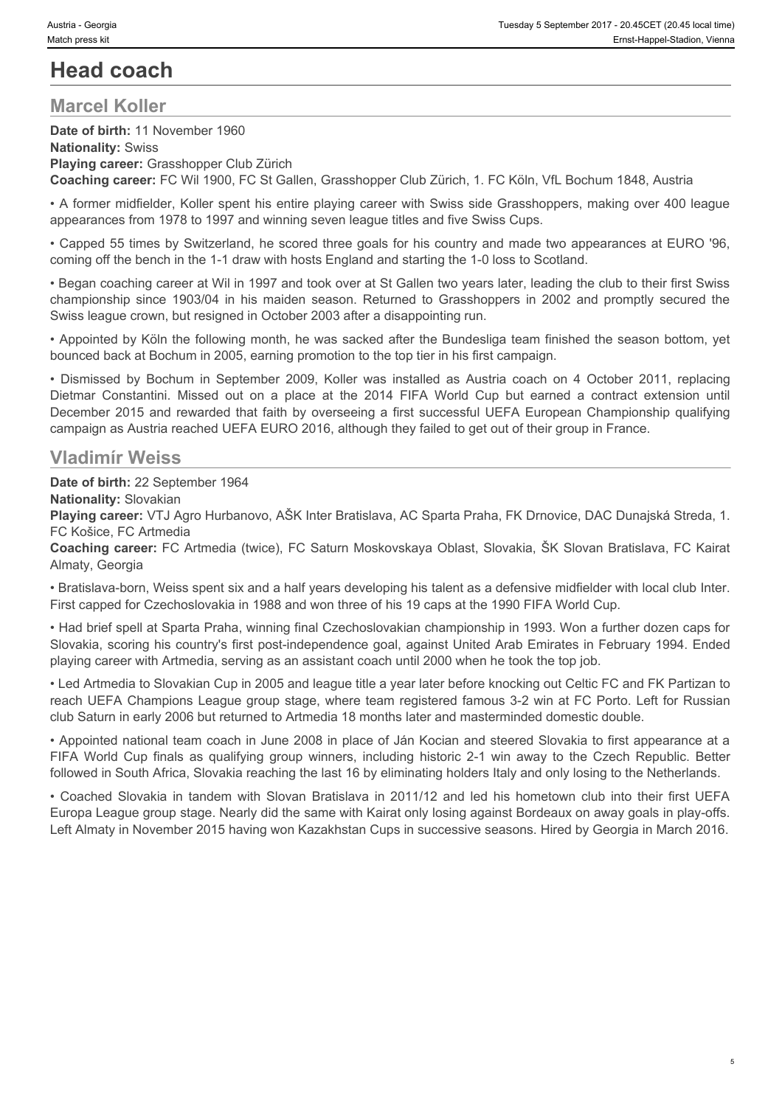# **Head coach**

### **Marcel Koller**

**Date of birth:** 11 November 1960 **Nationality:** Swiss **Playing career:** Grasshopper Club Zürich **Coaching career:** FC Wil 1900, FC St Gallen, Grasshopper Club Zürich, 1. FC Köln, VfL Bochum 1848, Austria

• A former midfielder, Koller spent his entire playing career with Swiss side Grasshoppers, making over 400 league appearances from 1978 to 1997 and winning seven league titles and five Swiss Cups.

• Capped 55 times by Switzerland, he scored three goals for his country and made two appearances at EURO '96, coming off the bench in the 1-1 draw with hosts England and starting the 1-0 loss to Scotland.

• Began coaching career at Wil in 1997 and took over at St Gallen two years later, leading the club to their first Swiss Swiss league crown, but resigned in October 2003 after a disappointing run.

• Appointed by Köln the following month, he was sacked after the Bundesliga team finished the season bottom, yet bounced back at Bochum in 2005, earning promotion to the top tier in his first campaign.

Vestian Georgia<br>
Champions and Control in the members of the 2014 in the 2014 in His main terms of the members of the members of the members of the Mationality: Swiss<br> **Playing career:** Crasshopper Club Zürich<br> **Playing ca** • Nexta - Cooysin Free Million The Coolse<br>
• Final Coolse of Dialer Coolse of Coolse The Coolse Coolse The Coolse Coolse The Coolse Coolse Coolse Dialer<br>
• Playing career: Crosshopper Club Zürich<br>
• Playing career: FC Wil Valeta Gesign Mission Constantinic Missed out on a place at the 2014 FIFA World Cup but earned a consistence at the 2014 FIFA World Constantine (mechanomic Place of birth: 11 November 1980<br>
Nationality: Swiss<br>
Playing care December 2015 and rewarded that faith by overseeing a first successful UEFA European Championship qualifying campaign as Austria reached UEFA EURO 2016, although they failed to get out of their group in France. Determine This world current and the Capital This winners, including the method of the the method cup finals as a method cup final of the Capital Cup final Cup finals as qualified properties and the Capital Cup finals and **Playing circer:** Growsshopser Cubic Slovakia in the Slovakia in the Slovakia in the Slovakia in tandem with Slovakia in Alexandem With Slovakia in Alexandem With Slovakia in Alexandem With Slovakia in 2012 and 2011/12 and

### **Vladimír Weiss**

**Date of birth:** 22 September 1964

**Nationality:** Slovakian

**Playing career:** VTJ Agro Hurbanovo, AŠK Inter Bratislava, AC Sparta Praha, FK Drnovice, DAC Dunajská Streda, 1. FC Košice, FC Artmedia

**Coaching career:** FC Artmedia (twice), FC Saturn Moskovskaya Oblast, Slovakia, ŠK Slovan Bratislava, FC Kairat Almaty, Georgia

• Bratislava-born, Weiss spent six and a half years developing his talent as a defensive midfielder with local club Inter. First capped for Czechoslovakia in 1988 and won three of his 19 caps at the 1990 FIFA World Cup.

• Had brief spell at Sparta Praha, winning final Czechoslovakian championship in 1993. Won a further dozen caps for Slovakia, scoring his country's first post-independence goal, against United Arab Emirates in February 1994. Ended playing career with Artmedia, serving as an assistant coach until 2000 when he took the top job.

• Led Artmedia to Slovakian Cup in 2005 and league title a year later before knocking out Celtic FC and FK Partizan to reach UEFA Champions League group stage, where team registered famous 3-2 win at FC Porto. Left for Russian club Saturn in early 2006 but returned to Artmedia 18 months later and masterminded domestic double.

• Appointed national team coach in June 2008 in place of Ján Kocian and steered Slovakia to first appearance at a followed in South Africa, Slovakia reaching the last 16 by eliminating holders Italy and only losing to the Netherlands.

Europa League group stage. Nearly did the same with Kairat only losing against Bordeaux on away goals in play-offs. Left Almaty in November 2015 having won Kazakhstan Cups in successive seasons. Hired by Georgia in March 2016.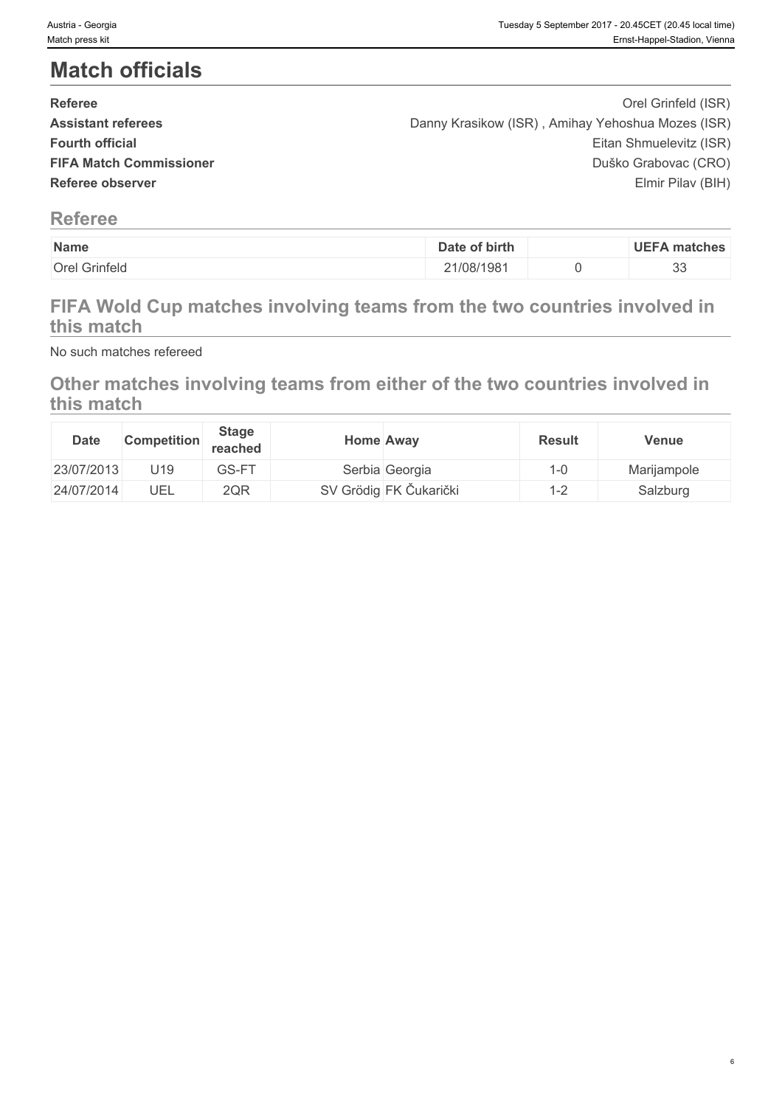# **Match officials**

| <b>Referee</b>                 | Orel Grinfeld (ISR)                               |  |
|--------------------------------|---------------------------------------------------|--|
| <b>Assistant referees</b>      | Danny Krasikow (ISR), Amihay Yehoshua Mozes (ISR) |  |
| <b>Fourth official</b>         | Eitan Shmuelevitz (ISR)                           |  |
| <b>FIFA Match Commissioner</b> | Duško Grabovac (CRO)                              |  |
| Referee observer               | Elmir Pilav (BIH)                                 |  |
|                                |                                                   |  |

### **Referee**

| Name          | Date of birth | <b>UEFA matches</b> |
|---------------|---------------|---------------------|
| Orel Grinfeld | 21/08/1981    | $\cap$              |
|               |               | ິ                   |

## **FIFA Wold Cup matches involving teams from the two countries involved in this match**

No such matches refereed

## **Other matches involving teams from either of the two countries involved in this match**

| <b>Date</b> | <b>Competition</b> | <b>Stage</b><br><b>reached</b> | <b>Home Away</b> |                        | <b>Result</b> | <b>Venue</b> |
|-------------|--------------------|--------------------------------|------------------|------------------------|---------------|--------------|
| 23/07/2013  | U19                | GS-FT                          |                  | Serbia Georgia         | $-0$          | Marijampole  |
| 24/07/2014  | UEL                | 2QR                            |                  | SV Grödig FK Čukarički | <u>_</u>      | Salzburg     |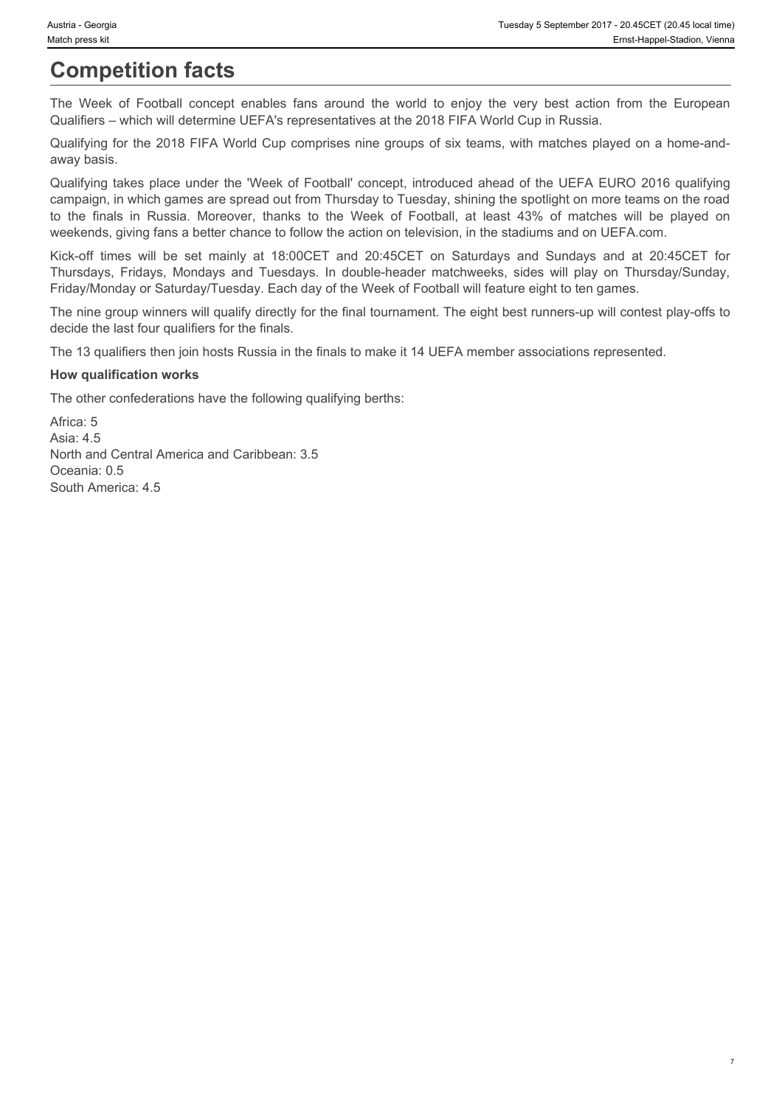# **Competition facts**

Qualifiers – which will determine UEFA's representatives at the 2018 FIFA World Cup in Russia.

Qualifying for the 2018 FIFA World Cup comprises nine groups of six teams, with matches played on a home-andaway basis.

Nustria - Georgia<br>
Match press kit<br>
The Week of Football concept enables fans around the world to enjoy the very best action from the European<br>
Qualifying for the 2018 FIFA World Cup comprises nine groups of six teams, wit Qualifying takes place under the 'Week of Football' concept, introduced ahead of the UEFA EURO 2016 qualifying campaign, in which games are spread out from Thursday to Tuesday, shining the spotlight on more teams on the road Unitian - Georgia<br>
The Week of Football concept enables fans around the world to enjoy the very best action from the European<br>
Competition facts<br>
The Week of Football concept enables fans around the world to enjoy the very weekends, giving fans a better chance to follow the action on television, in the stadiums and on UEFA.com. Nustia - Georgia<br>
Kiskich press ist<br>
Competition facts<br>
The Week of Football concept enables fans around the world to enjoy the very best action from the European<br>
Qualifiving for the 2018 FIFA World Cup comprises ait the Thursdays, The Week, of Football concept enables fans around the world to enjoy the very best action from the European Email-temperation, Vernus<br>Competition Tacts<br>Competition and Tuesday and Tuesday Competition University

Friday/Monday or Saturday/Tuesday. Each day of the Week of Football will feature eight to ten games.

The nine group winners will qualify directly for the final tournament. The eight best runners-up will contest play-offs to decide the last four qualifiers for the finals.

The 13 qualifiers then join hosts Russia in the finals to make it 14 UEFA member associations represented.

#### **How qualification works**

The other confederations have the following qualifying berths:

Africa: 5 Asia: 4.5 North and Central America and Caribbean: 3.5 Oceania: 0.5 South America: 4.5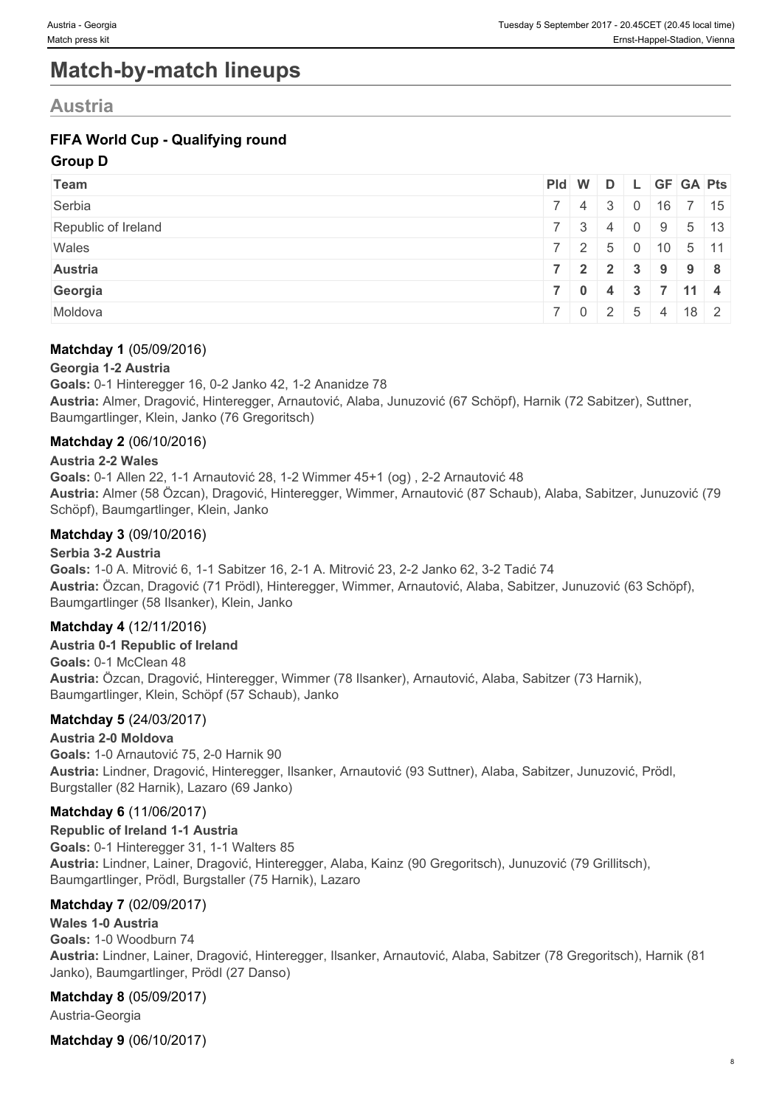# **Match-by-match lineups**

## **Austria**

### **FIFA World Cup - Qualifying round**

#### **Group D**

| Team                | Pid W D L GF GA Pts         |  |  |  |
|---------------------|-----------------------------|--|--|--|
| Serbia              | 7 4 3 0 16 7 15             |  |  |  |
| Republic of Ireland | 7 3 4 0 9 5 13              |  |  |  |
| Wales               | 7   2   5   0   10   5   11 |  |  |  |
| <b>Austria</b>      | 7 2 2 3 9 9 8               |  |  |  |
| Georgia             | 7   0   4   3   7   11   4  |  |  |  |
| Moldova             | 7 0 2 5 4 18 2              |  |  |  |

#### **Matchday 1** (05/09/2016)

#### **Georgia 1-2 Austria**

**Goals:** 0-1 Hinteregger 16, 0-2 Janko 42, 1-2 Ananidze 78 **Austria:** Almer, Dragović, Hinteregger, Arnautović, Alaba, Junuzović (67 Schöpf), Harnik (72 Sabitzer), Suttner, Baumgartlinger, Klein, Janko (76 Gregoritsch)

#### **Matchday 2** (06/10/2016)

#### **Austria 2-2 Wales**

**Goals:** 0-1 Allen 22, 1-1 Arnautović 28, 1-2 Wimmer 45+1 (og) , 2-2 Arnautović 48 **Austria:** Almer (58 Özcan), Dragović, Hinteregger, Wimmer, Arnautović (87 Schaub), Alaba, Sabitzer, Junuzović (79 Schöpf), Baumgartlinger, Klein, Janko

#### **Matchday 3** (09/10/2016)

#### **Serbia 3-2 Austria**

**Goals:** 1-0 A. Mitrović 6, 1-1 Sabitzer 16, 2-1 A. Mitrović 23, 2-2 Janko 62, 3-2 Tadić 74 **Austria:** Özcan, Dragović (71 Prödl), Hinteregger, Wimmer, Arnautović, Alaba, Sabitzer, Junuzović (63 Schöpf), Baumgartlinger (58 Ilsanker), Klein, Janko

#### **Matchday 4** (12/11/2016)

**Austria 0-1 Republic of Ireland Goals:** 0-1 McClean 48 **Austria:** Özcan, Dragović, Hinteregger, Wimmer (78 Ilsanker), Arnautović, Alaba, Sabitzer (73 Harnik), Baumgartlinger, Klein, Schöpf (57 Schaub), Janko

#### **Matchday 5** (24/03/2017)

#### **Austria 2-0 Moldova**

**Goals:** 1-0 Arnautović 75, 2-0 Harnik 90 **Austria:** Lindner, Dragović, Hinteregger, Ilsanker, Arnautović (93 Suttner), Alaba, Sabitzer, Junuzović, Prödl, Burgstaller (82 Harnik), Lazaro (69 Janko)

#### **Matchday 6** (11/06/2017)

**Republic of Ireland 1-1 Austria Goals:** 0-1 Hinteregger 31, 1-1 Walters 85 **Austria:** Lindner, Lainer, Dragović, Hinteregger, Alaba, Kainz (90 Gregoritsch), Junuzović (79 Grillitsch), Baumgartlinger, Prödl, Burgstaller (75 Harnik), Lazaro

#### **Matchday 7** (02/09/2017)

#### **Wales 1-0 Austria**

**Goals:** 1-0 Woodburn 74 **Austria:** Lindner, Lainer, Dragović, Hinteregger, Ilsanker, Arnautović, Alaba, Sabitzer (78 Gregoritsch), Harnik (81 Janko), Baumgartlinger, Prödl (27 Danso)

#### **Matchday 8** (05/09/2017)

Austria-Georgia

**Matchday 9** (06/10/2017)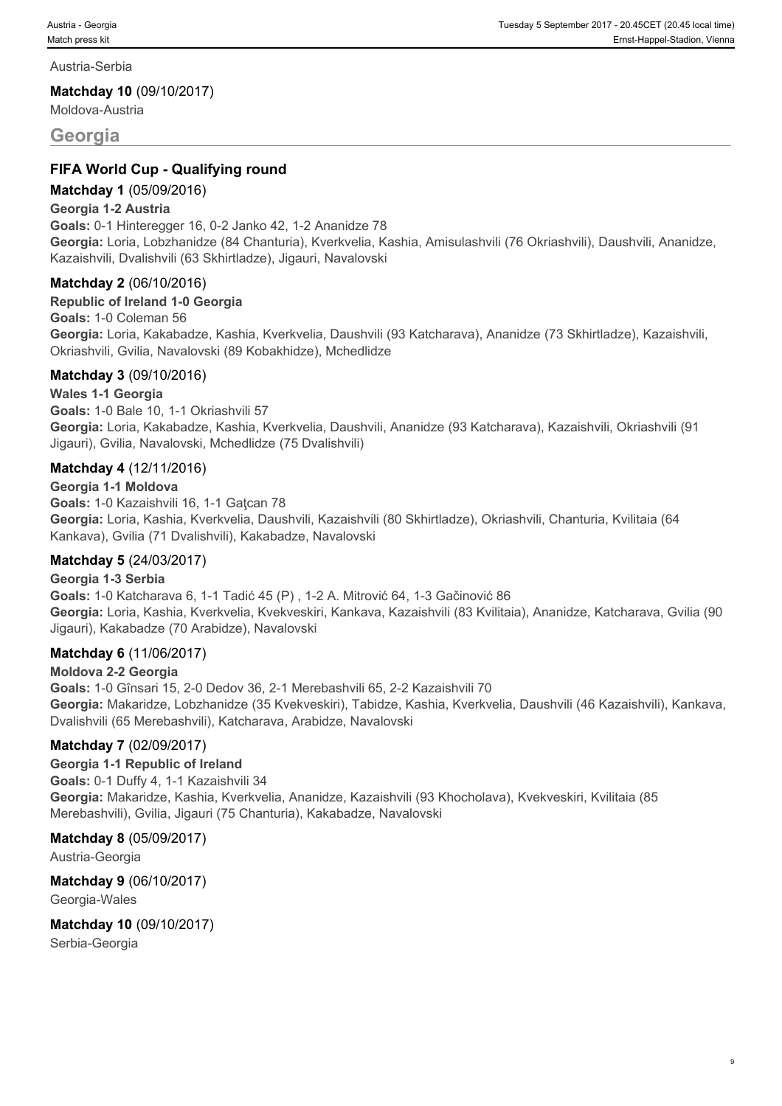Austria-Serbia

**Matchday 10** (09/10/2017)

Moldova-Austria

#### **Georgia**

#### **FIFA World Cup - Qualifying round**

#### **Matchday 1** (05/09/2016)

#### **Georgia 1-2 Austria**

**Goals:** 0-1 Hinteregger 16, 0-2 Janko 42, 1-2 Ananidze 78 **Georgia:** Loria, Lobzhanidze (84 Chanturia), Kverkvelia, Kashia, Amisulashvili (76 Okriashvili), Daushvili, Ananidze, Kazaishvili, Dvalishvili (63 Skhirtladze), Jigauri, Navalovski

#### **Matchday 2** (06/10/2016)

#### **Republic of Ireland 1-0 Georgia**

**Goals:** 1-0 Coleman 56 **Georgia:** Loria, Kakabadze, Kashia, Kverkvelia, Daushvili (93 Katcharava), Ananidze (73 Skhirtladze), Kazaishvili, Okriashvili, Gvilia, Navalovski (89 Kobakhidze), Mchedlidze

#### **Matchday 3** (09/10/2016)

#### **Wales 1-1 Georgia**

**Goals:** 1-0 Bale 10, 1-1 Okriashvili 57 **Georgia:** Loria, Kakabadze, Kashia, Kverkvelia, Daushvili, Ananidze (93 Katcharava), Kazaishvili, Okriashvili (91 Jigauri), Gvilia, Navalovski, Mchedlidze (75 Dvalishvili)

#### **Matchday 4** (12/11/2016)

#### **Georgia 1-1 Moldova**

Goals: 1-0 Kazaishvili 16, 1-1 Gatcan 78 **Georgia:** Loria, Kashia, Kverkvelia, Daushvili, Kazaishvili (80 Skhirtladze), Okriashvili, Chanturia, Kvilitaia (64 Kankava), Gvilia (71 Dvalishvili), Kakabadze, Navalovski

#### **Matchday 5** (24/03/2017)

#### **Georgia 1-3 Serbia**

**Goals:** 1-0 Katcharava 6, 1-1 Tadić 45 (P) , 1-2 A. Mitrović 64, 1-3 Gačinović 86 **Georgia:** Loria, Kashia, Kverkvelia, Kvekveskiri, Kankava, Kazaishvili (83 Kvilitaia), Ananidze, Katcharava, Gvilia (90 Jigauri), Kakabadze (70 Arabidze), Navalovski

#### **Matchday 6** (11/06/2017)

#### **Moldova 2-2 Georgia**

**Goals:** 1-0 Gînsari 15, 2-0 Dedov 36, 2-1 Merebashvili 65, 2-2 Kazaishvili 70 **Georgia:** Makaridze, Lobzhanidze (35 Kvekveskiri), Tabidze, Kashia, Kverkvelia, Daushvili (46 Kazaishvili), Kankava, Dvalishvili (65 Merebashvili), Katcharava, Arabidze, Navalovski

#### **Matchday 7** (02/09/2017)

**Georgia 1-1 Republic of Ireland Goals:** 0-1 Duffy 4, 1-1 Kazaishvili 34 **Georgia:** Makaridze, Kashia, Kverkvelia, Ananidze, Kazaishvili (93 Khocholava), Kvekveskiri, Kvilitaia (85 Merebashvili), Gvilia, Jigauri (75 Chanturia), Kakabadze, Navalovski

#### **Matchday 8** (05/09/2017)

Austria-Georgia

**Matchday 9** (06/10/2017) Georgia-Wales

**Matchday 10** (09/10/2017) Serbia-Georgia

9